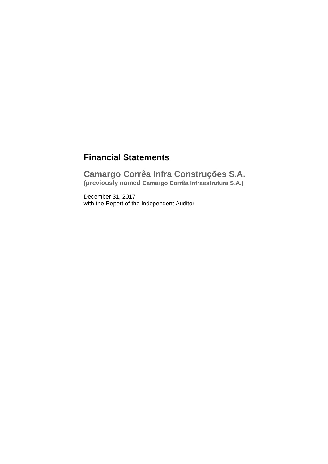# **Financial Statements**

**Camargo Corrêa Infra Construções S.A. (previously named Camargo Corrêa Infraestrutura S.A.)**

December 31, 2017 with the Report of the Independent Auditor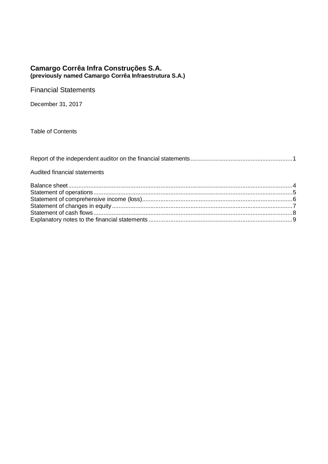Financial Statements

December 31, 2017

Table of Contents

| Audited financial statements |  |
|------------------------------|--|
|                              |  |
|                              |  |
|                              |  |
|                              |  |
|                              |  |
|                              |  |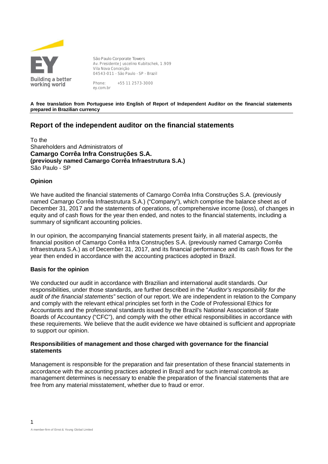

**São Paulo Corporate Towers** Av. Presidente Juscelino Kubitschek, 1.909 Vila Nova Conceição 04543-011 - São Paulo - SP - Brazil

Phone: +55 11 2573-3000 ey.com.br

#### **A free translation from Portuguese into English of Report of Independent Auditor on the financial statements prepared in Brazilian currency**

# **Report of the independent auditor on the financial statements**

To the Shareholders and Administrators of **Camargo Corrêa Infra Construções S.A. (previously named Camargo Corrêa Infraestrutura S.A.)** São Paulo - SP

#### **Opinion**

We have audited the financial statements of Camargo Corrêa Infra Construções S.A. (previously named Camargo Corrêa Infraestrutura S.A.) ("Company"), which comprise the balance sheet as of December 31, 2017 and the statements of operations, of comprehensive income (loss), of changes in equity and of cash flows for the year then ended, and notes to the financial statements, including a summary of significant accounting policies.

In our opinion, the accompanying financial statements present fairly, in all material aspects, the financial position of Camargo Corrêa Infra Construções S.A. (previously named Camargo Corrêa Infraestrutura S.A.) as of December 31, 2017, and its financial performance and its cash flows for the year then ended in accordance with the accounting practices adopted in Brazil.

#### **Basis for the opinion**

We conducted our audit in accordance with Brazilian and international audit standards. Our responsibilities, under those standards, are further described in the "*Auditor's responsibility for the audit of the financial statements*" section of our report. We are independent in relation to the Company and comply with the relevant ethical principles set forth in the Code of Professional Ethics for Accountants and the professional standards issued by the Brazil's National Association of State Boards of Accountancy ("CFC"), and comply with the other ethical responsibilities in accordance with these requirements. We believe that the audit evidence we have obtained is sufficient and appropriate to support our opinion.

#### **Responsibilities of management and those charged with governance for the financial statements**

Management is responsible for the preparation and fair presentation of these financial statements in accordance with the accounting practices adopted in Brazil and for such internal controls as management determines is necessary to enable the preparation of the financial statements that are free from any material misstatement, whether due to fraud or error.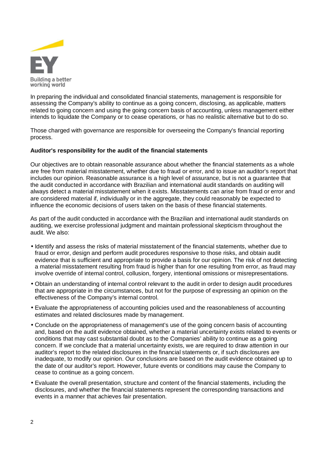

In preparing the individual and consolidated financial statements, management is responsible for assessing the Company's ability to continue as a going concern, disclosing, as applicable, matters related to going concern and using the going concern basis of accounting, unless management either intends to liquidate the Company or to cease operations, or has no realistic alternative but to do so.

Those charged with governance are responsible for overseeing the Company's financial reporting process.

#### **Auditor's responsibility for the audit of the financial statements**

Our objectives are to obtain reasonable assurance about whether the financial statements as a whole are free from material misstatement, whether due to fraud or error, and to issue an auditor's report that includes our opinion. Reasonable assurance is a high level of assurance, but is not a guarantee that the audit conducted in accordance with Brazilian and international audit standards on auditing will always detect a material misstatement when it exists. Misstatements can arise from fraud or error and are considered material if, individually or in the aggregate, they could reasonably be expected to influence the economic decisions of users taken on the basis of these financial statements.

As part of the audit conducted in accordance with the Brazilian and international audit standards on auditing, we exercise professional judgment and maintain professional skepticism throughout the audit. We also:

- Identify and assess the risks of material misstatement of the financial statements, whether due to fraud or error, design and perform audit procedures responsive to those risks, and obtain audit evidence that is sufficient and appropriate to provide a basis for our opinion. The risk of not detecting a material misstatement resulting from fraud is higher than for one resulting from error, as fraud may involve override of internal control, collusion, forgery, intentional omissions or misrepresentations.
- Obtain an understanding of internal control relevant to the audit in order to design audit procedures that are appropriate in the circumstances, but not for the purpose of expressing an opinion on the effectiveness of the Company's internal control.
- Evaluate the appropriateness of accounting policies used and the reasonableness of accounting estimates and related disclosures made by management.
- Conclude on the appropriateness of management's use of the going concern basis of accounting and, based on the audit evidence obtained, whether a material uncertainty exists related to events or conditions that may cast substantial doubt as to the Companies' ability to continue as a going concern. If we conclude that a material uncertainty exists, we are required to draw attention in our auditor's report to the related disclosures in the financial statements or, if such disclosures are inadequate, to modify our opinion. Our conclusions are based on the audit evidence obtained up to the date of our auditor's report. However, future events or conditions may cause the Company to cease to continue as a going concern.
- Evaluate the overall presentation, structure and content of the financial statements, including the disclosures, and whether the financial statements represent the corresponding transactions and events in a manner that achieves fair presentation.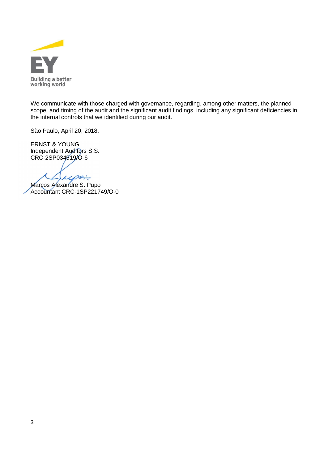

We communicate with those charged with governance, regarding, among other matters, the planned scope, and timing of the audit and the significant audit findings, including any significant deficiencies in the internal controls that we identified during our audit.

São Paulo, April 20, 2018.

ERNST & YOUNG Independent Auditors S.S. CRC-2SP034519/O-6

 $\infty$ z

Marcos Alexandre S. Pupo Accountant CRC-1SP221749/O-0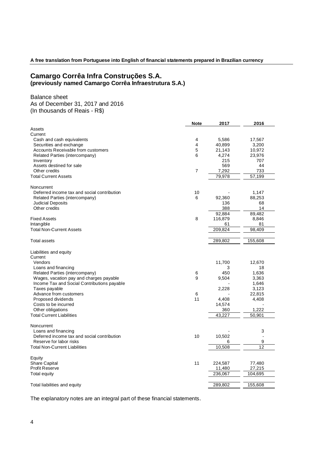Balance sheet

As of December 31, 2017 and 2016 (In thousands of Reais - R\$)

|                                             | <b>Note</b>    | 2017    | 2016    |
|---------------------------------------------|----------------|---------|---------|
| Assets                                      |                |         |         |
| Current                                     |                |         |         |
| Cash and cash equivalents                   | 4              | 5,586   | 17,567  |
| Securities and exchange                     | $\overline{4}$ | 40,899  | 3,200   |
| Accounts Receivable from customers          | 5              | 21,143  | 10,972  |
| Related Parties (intercompany)              | 6              | 4,274   | 23,976  |
| Inventory                                   |                | 215     | 707     |
| Assets destined for sale                    |                | 569     | 44      |
| Other credits                               | $\overline{7}$ | 7,292   | 733     |
| <b>Total Current Assets</b>                 |                | 79,978  | 57,199  |
|                                             |                |         |         |
| Noncurrent                                  |                |         |         |
| Deferred income tax and social contribution | 10             |         | 1,147   |
| Related Parties (intercompany)              | 6              | 92,360  | 88,253  |
| <b>Judicial Deposits</b>                    |                | 136     | 68      |
| Other credits                               |                | 388     | 14      |
|                                             |                | 92,884  | 89,482  |
|                                             | 8              |         |         |
| <b>Fixed Assets</b>                         |                | 116,879 | 8,846   |
| Intangible                                  |                | 61      | 81      |
| <b>Total Non-Current Assets</b>             |                | 209,824 | 98,409  |
| <b>Total assets</b>                         |                | 289,802 | 155,608 |
| Liabilities and equity                      |                |         |         |
| Current                                     |                |         |         |
| Vendors                                     |                | 11,700  | 12,670  |
| Loans and financing                         |                | 3       | 18      |
| Related Parties (intercompany)              | 6              | 450     | 1,636   |
| Wages, vacation pay and charges payable     | 9              | 9,504   | 3,363   |
| Income Tax and Social Contributions payable |                |         | 1,646   |
| Taxes payable                               |                | 2,228   | 3,123   |
| Advance from customers                      | 6              |         | 22,815  |
| Proposed dividends                          | 11             | 4,408   | 4,408   |
| Costs to be incurred                        |                | 14,574  |         |
| Other obligations                           |                | 360     | 1,222   |
| <b>Total Current Liabilities</b>            |                | 43,227  | 50,901  |
|                                             |                |         |         |
| Noncurrent                                  |                |         |         |
| Loans and financing                         |                |         | 3       |
| Deferred income tax and social contribution | 10             | 10,502  |         |
| Reserve for labor risks                     |                | 6       | 9       |
| <b>Total Non-Current Liabilities</b>        |                | 10,508  | 12      |
|                                             |                |         |         |
| Equity                                      | 11             |         |         |
| <b>Share Capital</b>                        |                | 224,587 | 77,480  |
| <b>Profit Reserve</b>                       |                | 11,480  | 27,215  |
| Total equity                                |                | 236,067 | 104,695 |
| Total liabilities and equity                |                | 289,802 | 155,608 |
|                                             |                |         |         |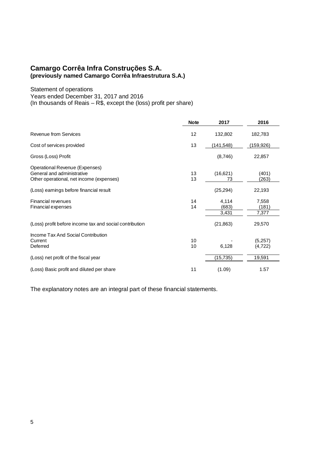Statement of operations

Years ended December 31, 2017 and 2016

(In thousands of Reais – R\$, except the (loss) profit per share)

|                                                                                                          | <b>Note</b> | 2017                    | 2016                    |
|----------------------------------------------------------------------------------------------------------|-------------|-------------------------|-------------------------|
| Revenue from Services                                                                                    | 12          | 132,802                 | 182,783                 |
| Cost of services provided                                                                                | 13          | (141,548)               | (159, 926)              |
| Gross (Loss) Profit                                                                                      |             | (8,746)                 | 22,857                  |
| Operational Revenue (Expenses)<br>General and administrative<br>Other operational, net income (expenses) | 13<br>13    | (16,621)<br>73          | (401)<br>(263)          |
| (Loss) earnings before financial result                                                                  |             | (25, 294)               | 22,193                  |
| <b>Financial revenues</b><br><b>Financial expenses</b>                                                   | 14<br>14    | 4,114<br>(683)<br>3,431 | 7,558<br>(181)<br>7,377 |
| (Loss) profit before income tax and social contribution                                                  |             | (21, 863)               | 29,570                  |
| Income Tax And Social Contribution<br>Current<br>Deferred                                                | 10<br>10    | 6,128                   | (5,257)<br>(4, 722)     |
| (Loss) net profit of the fiscal year                                                                     |             | (15, 735)               | 19,591                  |
| (Loss) Basic profit and diluted per share                                                                | 11          | (1.09)                  | 1.57                    |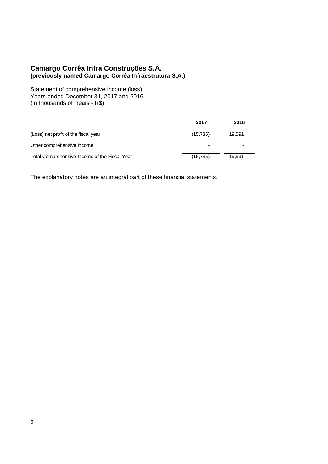Statement of comprehensive income (loss) Years ended December 31, 2017 and 2016 (In thousands of Reais - R\$)

|                                               | 2017      | 2016   |
|-----------------------------------------------|-----------|--------|
| (Loss) net profit of the fiscal year          | (15, 735) | 19.591 |
| Other comprehensive income                    |           | -      |
| Total Comprehensive Income of the Fiscal Year | (15,735)  | 19.591 |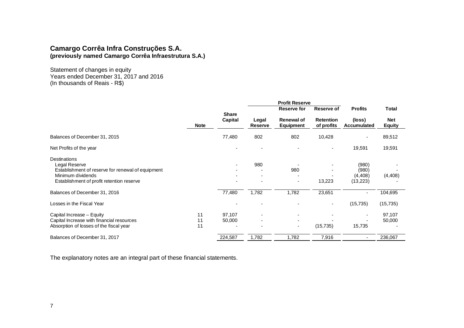Statement of changes in equity Years ended December 31, 2017 and 2016 (In thousands of Reais - R\$)

|                                                                                                                                                             |                |                         | <b>Profit Reserve</b>    |                                       |                                |                                         |                             |
|-------------------------------------------------------------------------------------------------------------------------------------------------------------|----------------|-------------------------|--------------------------|---------------------------------------|--------------------------------|-----------------------------------------|-----------------------------|
|                                                                                                                                                             |                |                         |                          | <b>Reserve for</b>                    | Reserve of                     | <b>Profits</b>                          | <b>Total</b>                |
|                                                                                                                                                             | <b>Note</b>    | <b>Share</b><br>Capital | Legal<br>Reserve         | <b>Renewal of</b><br><b>Equipment</b> | <b>Retention</b><br>of profits | (loss)<br><b>Accumulated</b>            | <b>Net</b><br><b>Equity</b> |
| Balances of December 31, 2015                                                                                                                               |                | 77,480                  | 802                      | 802                                   | 10,428                         | $\overline{\phantom{a}}$                | 89,512                      |
| Net Profits of the year                                                                                                                                     |                |                         | $\overline{\phantom{a}}$ |                                       | $\overline{\phantom{a}}$       | 19,591                                  | 19,591                      |
| <b>Destinations</b><br>Legal Reserve<br>Establishment of reserve for renewal of equipment<br>Minimum dividends<br>Establishment of profit retention reserve |                |                         | 980                      | 980<br>٠                              | 13,223                         | (980)<br>(980)<br>(4, 408)<br>(13, 223) | (4, 408)                    |
| Balances of December 31, 2016                                                                                                                               |                | 77,480                  | 1,782                    | 1,782                                 | 23,651                         |                                         | 104,695                     |
| Losses in the Fiscal Year                                                                                                                                   |                |                         |                          |                                       |                                | (15, 735)                               | (15, 735)                   |
| Capital Increase - Equity<br>Capital Increase with financial resources<br>Absorption of losses of the fiscal year                                           | 11<br>11<br>11 | 97,107<br>50,000        | $\overline{\phantom{a}}$ | ٠                                     | (15, 735)                      | 15,735                                  | 97,107<br>50,000            |
| Balances of December 31, 2017                                                                                                                               |                | 224,587                 | 1,782                    | 1,782                                 | 7,916                          |                                         | 236,067                     |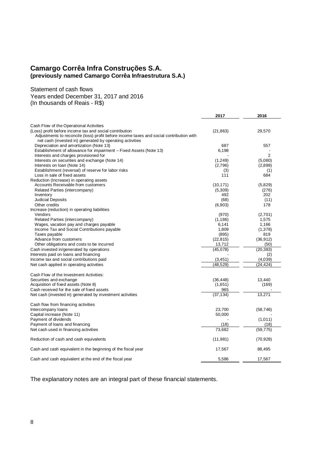Statement of cash flows Years ended December 31, 2017 and 2016 (In thousands of Reais - R\$)

|                                                                                         | 2017      | 2016           |
|-----------------------------------------------------------------------------------------|-----------|----------------|
|                                                                                         |           |                |
| Cash Flow of the Operational Activities                                                 |           |                |
| (Loss) profit before income tax and social contribution                                 | (21, 863) | 29,570         |
| Adjustments to reconcile (loss) profit before income taxes and social contribution with |           |                |
| net cash (invested in) generated by operating activities                                |           |                |
| Depreciation and amortization (Note 13)                                                 | 687       | 557            |
| Establishment of allowance for <i>impairment</i> - Fixed Assets (Note 13)               | 6,198     |                |
| Interests and charges provisioned for                                                   |           | $\overline{2}$ |
| Interests on securities and exchange (Note 14)                                          | (1,249)   | (5,080)        |
| Interests on Ioan (Note 14)                                                             | (2,796)   | (2,898)        |
| Establishment (reversal) of reserve for labor risks                                     | (3)       | (1)            |
| Loss in sale of fixed assets                                                            | 111       | 684            |
| Reduction (Increase) in operating assets                                                |           |                |
| Accounts Receivable from customers                                                      | (10, 171) | (5,829)        |
| Related Parties (intercompany)                                                          | (5,309)   | (276)          |
| Inventory                                                                               | 492       | 202            |
| <b>Judicial Deposits</b>                                                                | (68)      | (11)           |
| Other credits                                                                           | (6,903)   | 178            |
| Increase (reduction) in operating liabilities                                           |           |                |
| Vendors                                                                                 | (970)     | (2,701)        |
| Related Parties (intercompany)                                                          | (1, 186)  | 1,575          |
| Wages, vacation pay and charges payable                                                 | 6,141     | 1,166          |
| Income Tax and Social Contributions payable                                             | 1,809     | (1,378)        |
| Taxes payable                                                                           | (895)     | 819            |
| Advance from customers                                                                  | (22, 815) | (36, 912)      |
| Other obligations and costs to be incurred                                              | 13,712    | (50)           |
| Cash invested in/generated by operations                                                | (45,078)  | (20, 383)      |
| Interests paid on loans and financing                                                   |           | (2)            |
| Income tax and social contributions paid                                                | (3, 451)  | (4,039)        |
| Net cash applied in operating activities                                                | (48, 529) | (24, 424)      |
| Cash Flow of the Investment Activities:                                                 |           |                |
| Securities and exchange                                                                 | (36, 448) | 13,440         |
| Acquisition of fixed assets (Note 8)                                                    | (1,651)   | (169)          |
| Cash received for the sale of fixed assets                                              | 965       |                |
| Net cash (invested in) generated by investment activities                               | (37, 134) | 13,271         |
|                                                                                         |           |                |
| Cash flow from financing activities                                                     |           |                |
| Intercompany loans                                                                      | 23,700    | (58, 746)      |
| Capital increase (Note 11)                                                              | 50,000    |                |
| Payment of dividends                                                                    |           | (1,011)        |
| Payment of loans and financing                                                          | (18)      | (18)           |
| Net cash used in financing activities                                                   | 73,682    | (59, 775)      |
| Reduction of cash and cash equivalents                                                  | (11, 981) | (70,928)       |
| Cash and cash equivalent in the beginning of the fiscal year                            | 17,567    | 88,495         |
| Cash and cash equivalent at the end of the fiscal year                                  | 5,586     | 17,567         |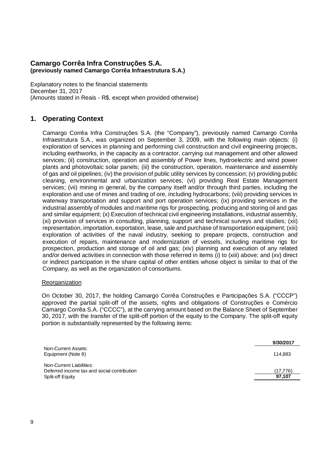Explanatory notes to the financial statements December 31, 2017 (Amounts stated in Reais - R\$, except when provided otherwise)

# **1. Operating Context**

Camargo Corrêa Infra Construções S.A. (the "Company"), previously named Camargo Corrêa Infraestrutura S.A., was organized on September 3, 2009, with the following main objects: (i) exploration of services in planning and performing civil construction and civil engineering projects, including earthworks, in the capacity as a contractor, carrying out management and other allowed services; (ii) construction, operation and assembly of Power lines, hydroelectric and wind power plants and photovoltaic solar panels; (iii) the construction, operation, maintenance and assembly of gas and oil pipelines; (iv) the provision of public utility services by concession; (v) providing public cleaning, environmental and urbanization services; (vi) providing Real Estate Management services; (vii) mining in general, by the company itself and/or through third parties, including the exploration and use of mines and trading of ore, including hydrocarbons; (viii) providing services in waterway transportation and support and port operation services; (ix) providing services in the industrial assembly of modules and maritime rigs for prospecting, producing and storing oil and gas and similar equipment; (x) Execution of technical civil engineering installations, industrial assembly, (xi) provision of services in consulting, planning, support and technical surveys and studies; (xii) representation, importation, exportation, lease, sale and purchase of transportation equipment; (xiii) exploration of activities of the naval industry, seeking to prepare projects, construction and execution of repairs, maintenance and modernization of vessels, including maritime rigs for prospection, production and storage of oil and gas; (xiv) planning and execution of any related and/or derived activities in connection with those referred in items (i) to (xiii) above; and (xv) direct or indirect participation in the share capital of other entities whose object is similar to that of the Company, as well as the organization of consortiums.

#### Reorganization

On October 30, 2017, the holding Camargo Corrêa Construções e Participações S.A. ("CCCP") approved the partial split-off of the assets, rights and obligations of Construções e Comércio Camargo Corrêa S.A. ("CCCC"), at the carrying amount based on the Balance Sheet of September 30, 2017, with the transfer of the split-off portion of the equity to the Company. The split-off equity portion is substantially represented by the following items:

|                                             | 9/30/2017 |
|---------------------------------------------|-----------|
| Non-Current Assets:<br>Equipment (Note 8)   | 114.883   |
| Non-Current Liabilities:                    |           |
| Deferred income tax and social contribution | (17.776)  |
| Split-off Equity                            | 97.107    |
|                                             |           |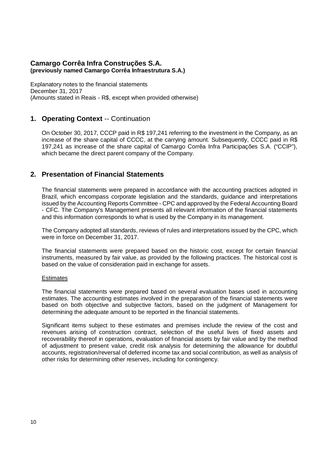Explanatory notes to the financial statements December 31, 2017 (Amounts stated in Reais - R\$, except when provided otherwise)

# **1. Operating Context** -- Continuation

On October 30, 2017, CCCP paid in R\$ 197,241 referring to the investment in the Company, as an increase of the share capital of CCCC, at the carrying amount. Subsequently, CCCC paid in R\$ 197,241 as increase of the share capital of Camargo Corrêa Infra Participações S.A. ("CCIP"), which became the direct parent company of the Company.

# **2. Presentation of Financial Statements**

The financial statements were prepared in accordance with the accounting practices adopted in Brazil, which encompass corporate legislation and the standards, guidance and interpretations issued by the Accounting Reports Committee - CPC and approved by the Federal Accounting Board - CFC. The Company's Management presents all relevant information of the financial statements and this information corresponds to what is used by the Company in its management.

The Company adopted all standards, reviews of rules and interpretations issued by the CPC, which were in force on December 31, 2017.

The financial statements were prepared based on the historic cost, except for certain financial instruments, measured by fair value, as provided by the following practices. The historical cost is based on the value of consideration paid in exchange for assets.

#### **Estimates**

The financial statements were prepared based on several evaluation bases used in accounting estimates. The accounting estimates involved in the preparation of the financial statements were based on both objective and subjective factors, based on the judgment of Management for determining the adequate amount to be reported in the financial statements.

Significant items subject to these estimates and premises include the review of the cost and revenues arising of construction contract, selection of the useful lives of fixed assets and recoverability thereof in operations, evaluation of financial assets by fair value and by the method of adjustment to present value, credit risk analysis for determining the allowance for doubtful accounts, registration/reversal of deferred income tax and social contribution, as well as analysis of other risks for determining other reserves, including for contingency.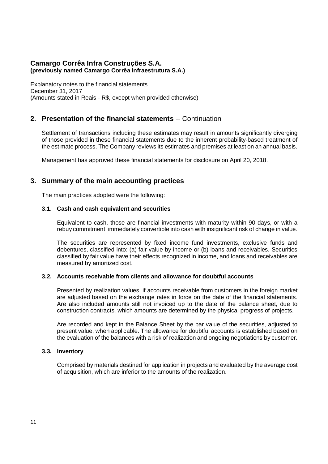Explanatory notes to the financial statements December 31, 2017 (Amounts stated in Reais - R\$, except when provided otherwise)

# **2. Presentation of the financial statements** -- Continuation

Settlement of transactions including these estimates may result in amounts significantly diverging of those provided in these financial statements due to the inherent probability-based treatment of the estimate process. The Company reviews its estimates and premises at least on an annual basis.

Management has approved these financial statements for disclosure on April 20, 2018.

# **3. Summary of the main accounting practices**

The main practices adopted were the following:

#### **3.1. Cash and cash equivalent and securities**

Equivalent to cash, those are financial investments with maturity within 90 days, or with a rebuy commitment, immediately convertible into cash with insignificant risk of change in value.

The securities are represented by fixed income fund investments, exclusive funds and debentures, classified into: (a) fair value by income or (b) loans and receivables. Securities classified by fair value have their effects recognized in income, and loans and receivables are measured by amortized cost.

#### **3.2. Accounts receivable from clients and allowance for doubtful accounts**

Presented by realization values, if accounts receivable from customers in the foreign market are adjusted based on the exchange rates in force on the date of the financial statements. Are also included amounts still not invoiced up to the date of the balance sheet, due to construction contracts, which amounts are determined by the physical progress of projects.

Are recorded and kept in the Balance Sheet by the par value of the securities, adjusted to present value, when applicable. The allowance for doubtful accounts is established based on the evaluation of the balances with a risk of realization and ongoing negotiations by customer.

#### **3.3. Inventory**

Comprised by materials destined for application in projects and evaluated by the average cost of acquisition, which are inferior to the amounts of the realization.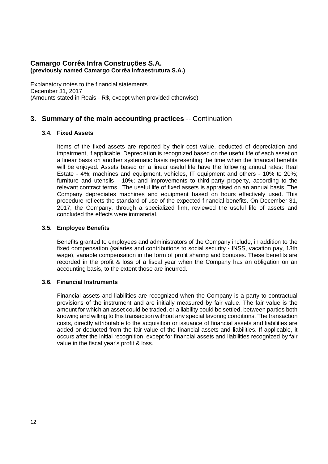Explanatory notes to the financial statements December 31, 2017 (Amounts stated in Reais - R\$, except when provided otherwise)

# **3. Summary of the main accounting practices** -- Continuation

#### **3.4. Fixed Assets**

Items of the fixed assets are reported by their cost value, deducted of depreciation and impairment, if applicable. Depreciation is recognized based on the useful life of each asset on a linear basis on another systematic basis representing the time when the financial benefits will be enjoyed. Assets based on a linear useful life have the following annual rates: Real Estate - 4%; machines and equipment, vehicles, IT equipment and others - 10% to 20%; furniture and utensils - 10%; and improvements to third-party property, according to the relevant contract terms. The useful life of fixed assets is appraised on an annual basis. The Company depreciates machines and equipment based on hours effectively used. This procedure reflects the standard of use of the expected financial benefits. On December 31, 2017, the Company, through a specialized firm, reviewed the useful life of assets and concluded the effects were immaterial.

#### **3.5. Employee Benefits**

Benefits granted to employees and administrators of the Company include, in addition to the fixed compensation (salaries and contributions to social security - INSS, vacation pay, 13th wage), variable compensation in the form of profit sharing and bonuses. These benefits are recorded in the profit & loss of a fiscal year when the Company has an obligation on an accounting basis, to the extent those are incurred.

#### **3.6. Financial Instruments**

Financial assets and liabilities are recognized when the Company is a party to contractual provisions of the instrument and are initially measured by fair value. The fair value is the amount for which an asset could be traded, or a liability could be settled, between parties both knowing and willing to this transaction without any special favoring conditions. The transaction costs, directly attributable to the acquisition or issuance of financial assets and liabilities are added or deducted from the fair value of the financial assets and liabilities. If applicable, it occurs after the initial recognition, except for financial assets and liabilities recognized by fair value in the fiscal year's profit & loss.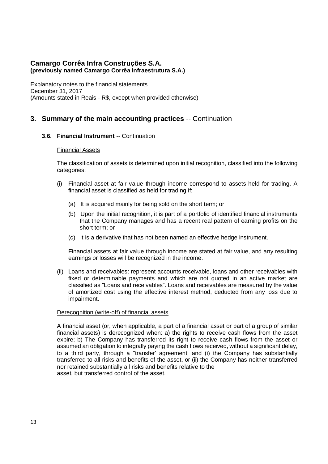Explanatory notes to the financial statements December 31, 2017 (Amounts stated in Reais - R\$, except when provided otherwise)

# **3. Summary of the main accounting practices** -- Continuation

#### **3.6. Financial Instrument** -- Continuation

#### Financial Assets

The classification of assets is determined upon initial recognition, classified into the following categories:

- (i) Financial asset at fair value through income correspond to assets held for trading. A financial asset is classified as held for trading if:
	- (a) It is acquired mainly for being sold on the short term; or
	- (b) Upon the initial recognition, it is part of a portfolio of identified financial instruments that the Company manages and has a recent real pattern of earning profits on the short term; or
	- (c) It is a derivative that has not been named an effective hedge instrument.

Financial assets at fair value through income are stated at fair value, and any resulting earnings or losses will be recognized in the income.

(ii) Loans and receivables: represent accounts receivable, loans and other receivables with fixed or determinable payments and which are not quoted in an active market are classified as "Loans and receivables". Loans and receivables are measured by the value of amortized cost using the effective interest method, deducted from any loss due to impairment.

#### Derecognition (write-off) of financial assets

A financial asset (or, when applicable, a part of a financial asset or part of a group of similar financial assets) is derecognized when: a) the rights to receive cash flows from the asset expire; b) The Company has transferred its right to receive cash flows from the asset or assumed an obligation to integrally paying the cash flows received, without a significant delay, to a third party, through a "transfer' agreement; and (i) the Company has substantially transferred to all risks and benefits of the asset, or (ii) the Company has neither transferred nor retained substantially all risks and benefits relative to the asset, but transferred control of the asset.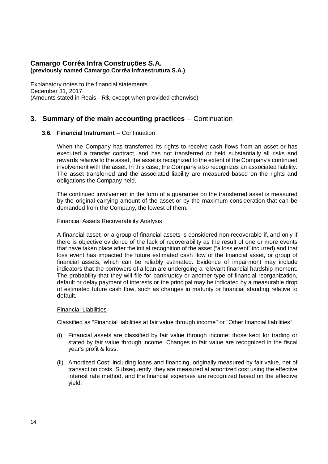Explanatory notes to the financial statements December 31, 2017 (Amounts stated in Reais - R\$, except when provided otherwise)

# **3. Summary of the main accounting practices** -- Continuation

#### **3.6. Financial Instrument** -- Continuation

When the Company has transferred its rights to receive cash flows from an asset or has executed a transfer contract, and has not transferred or held substantially all risks and rewards relative to the asset, the asset is recognized to the extent of the Company's continued involvement with the asset. In this case, the Company also recognizes an associated liability. The asset transferred and the associated liability are measured based on the rights and obligations the Company held.

The continued involvement in the form of a guarantee on the transferred asset is measured by the original carrying amount of the asset or by the maximum consideration that can be demanded from the Company, the lowest of them.

#### Financial Assets Recoverability Analysis

A financial asset, or a group of financial assets is considered non-recoverable if, and only if there is objective evidence of the lack of recoverability as the result of one or more events that have taken place after the initial recognition of the asset ("a loss event" incurred) and that loss event has impacted the future estimated cash flow of the financial asset, or group of financial assets, which can be reliably estimated. Evidence of impairment may include indicators that the borrowers of a loan are undergoing a relevant financial hardship moment. The probability that they will file for bankruptcy or another type of financial reorganization, default or delay payment of interests or the principal may be indicated by a measurable drop of estimated future cash flow, such as changes in maturity or financial standing relative to default.

#### Financial Liabilities

Classified as "Financial liabilities at fair value through income" or "Other financial liabilities".

- (i) Financial assets are classified by fair value through income: those kept for trading or stated by fair value through income. Changes to fair value are recognized in the fiscal year's profit & loss.
- (ii) Amortized Cost: including loans and financing, originally measured by fair value, net of transaction costs. Subsequently, they are measured at amortized cost using the effective interest rate method, and the financial expenses are recognized based on the effective yield.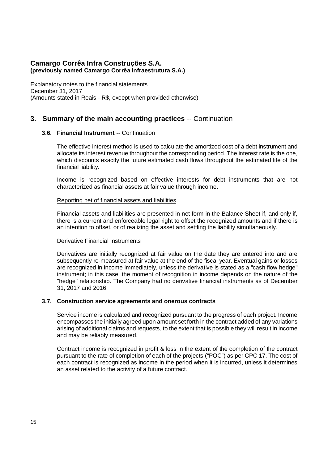Explanatory notes to the financial statements December 31, 2017 (Amounts stated in Reais - R\$, except when provided otherwise)

# **3. Summary of the main accounting practices** -- Continuation

#### **3.6. Financial Instrument** -- Continuation

The effective interest method is used to calculate the amortized cost of a debt instrument and allocate its interest revenue throughout the corresponding period. The interest rate is the one, which discounts exactly the future estimated cash flows throughout the estimated life of the financial liability.

Income is recognized based on effective interests for debt instruments that are not characterized as financial assets at fair value through income.

#### Reporting net of financial assets and liabilities

Financial assets and liabilities are presented in net form in the Balance Sheet if, and only if, there is a current and enforceable legal right to offset the recognized amounts and if there is an intention to offset, or of realizing the asset and settling the liability simultaneously.

#### Derivative Financial Instruments

Derivatives are initially recognized at fair value on the date they are entered into and are subsequently re-measured at fair value at the end of the fiscal year. Eventual gains or losses are recognized in income immediately, unless the derivative is stated as a "cash flow hedge" instrument; in this case, the moment of recognition in income depends on the nature of the "hedge" relationship. The Company had no derivative financial instruments as of December 31, 2017 and 2016.

#### **3.7. Construction service agreements and onerous contracts**

Service income is calculated and recognized pursuant to the progress of each project. Income encompasses the initially agreed upon amount set forth in the contract added of any variations arising of additional claims and requests, to the extent that is possible they will result in income and may be reliably measured.

Contract income is recognized in profit & loss in the extent of the completion of the contract pursuant to the rate of completion of each of the projects ("POC") as per CPC 17. The cost of each contract is recognized as income in the period when it is incurred, unless it determines an asset related to the activity of a future contract.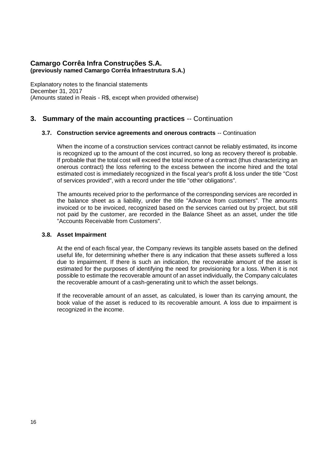Explanatory notes to the financial statements December 31, 2017 (Amounts stated in Reais - R\$, except when provided otherwise)

# **3. Summary of the main accounting practices** -- Continuation

#### **3.7. Construction service agreements and onerous contracts** -- Continuation

When the income of a construction services contract cannot be reliably estimated, its income is recognized up to the amount of the cost incurred, so long as recovery thereof is probable. If probable that the total cost will exceed the total income of a contract (thus characterizing an onerous contract) the loss referring to the excess between the income hired and the total estimated cost is immediately recognized in the fiscal year's profit & loss under the title "Cost of services provided", with a record under the title "other obligations".

The amounts received prior to the performance of the corresponding services are recorded in the balance sheet as a liability, under the title "Advance from customers". The amounts invoiced or to be invoiced, recognized based on the services carried out by project, but still not paid by the customer, are recorded in the Balance Sheet as an asset, under the title "Accounts Receivable from Customers".

#### **3.8. Asset Impairment**

At the end of each fiscal year, the Company reviews its tangible assets based on the defined useful life, for determining whether there is any indication that these assets suffered a loss due to impairment. If there is such an indication, the recoverable amount of the asset is estimated for the purposes of identifying the need for provisioning for a loss. When it is not possible to estimate the recoverable amount of an asset individually, the Company calculates the recoverable amount of a cash-generating unit to which the asset belongs.

If the recoverable amount of an asset, as calculated, is lower than its carrying amount, the book value of the asset is reduced to its recoverable amount. A loss due to impairment is recognized in the income.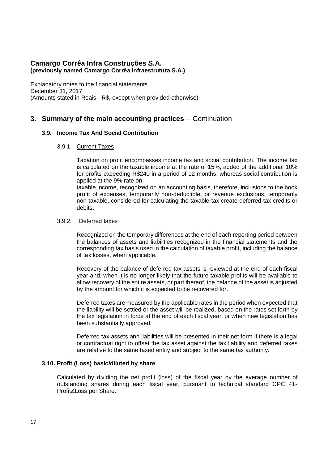Explanatory notes to the financial statements December 31, 2017 (Amounts stated in Reais - R\$, except when provided otherwise)

# **3. Summary of the main accounting practices** -- Continuation

#### **3.9. Income Tax And Social Contribution**

#### 3.9.1. Current Taxes

Taxation on profit encompasses income tax and social contribution. The income tax is calculated on the taxable income at the rate of 15%, added of the additional 10% for profits exceeding R\$240 in a period of 12 months, whereas social contribution is applied at the 9% rate on

taxable income, recognized on an accounting basis, therefore, inclusions to the book profit of expenses, temporarily non-deductible, or revenue exclusions, temporarily non-taxable, considered for calculating the taxable tax create deferred tax credits or debits.

#### 3.9.2. Deferred taxes

Recognized on the temporary differences at the end of each reporting period between the balances of assets and liabilities recognized in the financial statements and the corresponding tax basis used in the calculation of taxable profit, including the balance of tax losses, when applicable.

Recovery of the balance of deferred tax assets is reviewed at the end of each fiscal year and, when it is no longer likely that the future taxable profits will be available to allow recovery of the entire assets, or part thereof, the balance of the asset is adjusted by the amount for which it is expected to be recovered for.

Deferred taxes are measured by the applicable rates in the period when expected that the liability will be settled or the asset will be realized, based on the rates set forth by the tax legislation in force at the end of each fiscal year, or when new legislation has been substantially approved.

Deferred tax assets and liabilities will be presented in their net form if there is a legal or contractual right to offset the tax asset against the tax liability and deferred taxes are relative to the same taxed entity and subject to the same tax authority.

#### **3.10. Profit (Loss) basic/diluted by share**

Calculated by dividing the net profit (loss) of the fiscal year by the average number of outstanding shares during each fiscal year, pursuant to technical standard CPC 41- Profit&Loss per Share.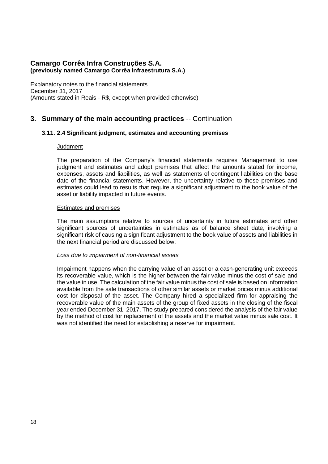Explanatory notes to the financial statements December 31, 2017 (Amounts stated in Reais - R\$, except when provided otherwise)

# **3. Summary of the main accounting practices** -- Continuation

### **3.11. 2.4 Significant judgment, estimates and accounting premises**

#### **Judgment**

The preparation of the Company's financial statements requires Management to use judgment and estimates and adopt premises that affect the amounts stated for income, expenses, assets and liabilities, as well as statements of contingent liabilities on the base date of the financial statements. However, the uncertainty relative to these premises and estimates could lead to results that require a significant adjustment to the book value of the asset or liability impacted in future events.

#### Estimates and premises

The main assumptions relative to sources of uncertainty in future estimates and other significant sources of uncertainties in estimates as of balance sheet date, involving a significant risk of causing a significant adjustment to the book value of assets and liabilities in the next financial period are discussed below:

#### *Loss due to impairment of non-financial assets*

Impairment happens when the carrying value of an asset or a cash-generating unit exceeds its recoverable value, which is the higher between the fair value minus the cost of sale and the value in use. The calculation of the fair value minus the cost of sale is based on information available from the sale transactions of other similar assets or market prices minus additional cost for disposal of the asset. The Company hired a specialized firm for appraising the recoverable value of the main assets of the group of fixed assets in the closing of the fiscal year ended December 31, 2017. The study prepared considered the analysis of the fair value by the method of cost for replacement of the assets and the market value minus sale cost. It was not identified the need for establishing a reserve for impairment.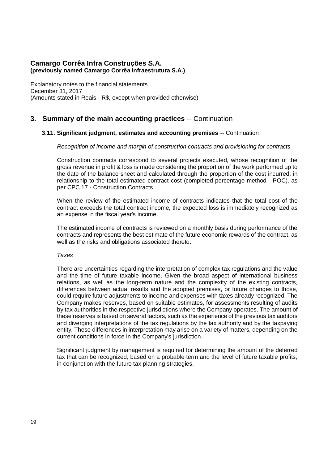Explanatory notes to the financial statements December 31, 2017 (Amounts stated in Reais - R\$, except when provided otherwise)

# **3. Summary of the main accounting practices** -- Continuation

#### **3.11. Significant judgment, estimates and accounting premises** -- Continuation

#### *Recognition of income and margin of construction contracts and provisioning for contracts.*

Construction contracts correspond to several projects executed, whose recognition of the gross revenue in profit & loss is made considering the proportion of the work performed up to the date of the balance sheet and calculated through the proportion of the cost incurred, in relationship to the total estimated contract cost (completed percentage method - POC), as per CPC 17 - Construction Contracts.

When the review of the estimated income of contracts indicates that the total cost of the contract exceeds the total contract income, the expected loss is immediately recognized as an expense in the fiscal year's income.

The estimated income of contracts is reviewed on a monthly basis during performance of the contracts and represents the best estimate of the future economic rewards of the contract, as well as the risks and obligations associated thereto.

#### *Taxes*

There are uncertainties regarding the interpretation of complex tax regulations and the value and the time of future taxable income. Given the broad aspect of international business relations, as well as the long-term nature and the complexity of the existing contracts, differences between actual results and the adopted premises, or future changes to those, could require future adjustments to income and expenses with taxes already recognized. The Company makes reserves, based on suitable estimates, for assessments resulting of audits by tax authorities in the respective jurisdictions where the Company operates. The amount of these reserves is based on several factors, such as the experience of the previous tax auditors and diverging interpretations of the tax regulations by the tax authority and by the taxpaying entity. These differences in interpretation may arise on a variety of matters, depending on the current conditions in force in the Company's jurisdiction.

Significant judgment by management is required for determining the amount of the deferred tax that can be recognized, based on a probable term and the level of future taxable profits, in conjunction with the future tax planning strategies.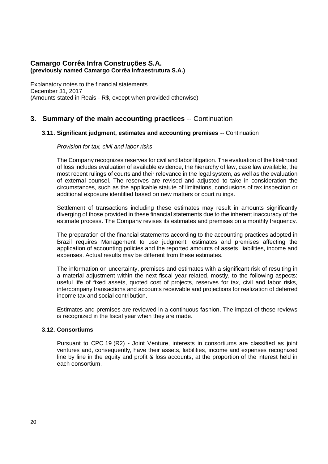Explanatory notes to the financial statements December 31, 2017 (Amounts stated in Reais - R\$, except when provided otherwise)

# **3. Summary of the main accounting practices** -- Continuation

#### **3.11. Significant judgment, estimates and accounting premises** -- Continuation

#### *Provision for tax, civil and labor risks*

The Company recognizes reserves for civil and labor litigation. The evaluation of the likelihood of loss includes evaluation of available evidence, the hierarchy of law, case law available, the most recent rulings of courts and their relevance in the legal system, as well as the evaluation of external counsel. The reserves are revised and adjusted to take in consideration the circumstances, such as the applicable statute of limitations, conclusions of tax inspection or additional exposure identified based on new matters or court rulings.

Settlement of transactions including these estimates may result in amounts significantly diverging of those provided in these financial statements due to the inherent inaccuracy of the estimate process. The Company revises its estimates and premises on a monthly frequency.

The preparation of the financial statements according to the accounting practices adopted in Brazil requires Management to use judgment, estimates and premises affecting the application of accounting policies and the reported amounts of assets, liabilities, income and expenses. Actual results may be different from these estimates.

The information on uncertainty, premises and estimates with a significant risk of resulting in a material adjustment within the next fiscal year related, mostly, to the following aspects: useful life of fixed assets, quoted cost of projects, reserves for tax, civil and labor risks, intercompany transactions and accounts receivable and projections for realization of deferred income tax and social contribution.

Estimates and premises are reviewed in a continuous fashion. The impact of these reviews is recognized in the fiscal year when they are made.

#### **3.12. Consortiums**

Pursuant to CPC 19 (R2) - Joint Venture, interests in consortiums are classified as joint ventures and, consequently, have their assets, liabilities, income and expenses recognized line by line in the equity and profit & loss accounts, at the proportion of the interest held in each consortium.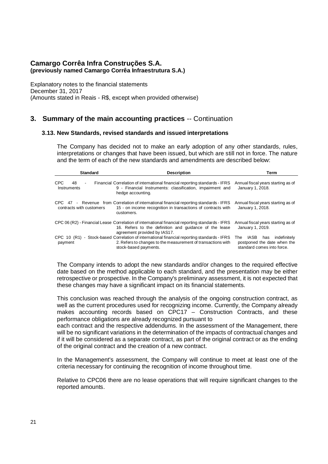Explanatory notes to the financial statements December 31, 2017 (Amounts stated in Reais - R\$, except when provided otherwise)

# **3. Summary of the main accounting practices** -- Continuation

#### **3.13. New Standards, revised standards and issued interpretations**

The Company has decided not to make an early adoption of any other standards, rules, interpretations or changes that have been issued, but which are still not in force. The nature and the term of each of the new standards and amendments are described below:

| <b>Standard</b>                            | <b>Description</b>                                                                                                                                                                        |                                                                                                 |  |  |
|--------------------------------------------|-------------------------------------------------------------------------------------------------------------------------------------------------------------------------------------------|-------------------------------------------------------------------------------------------------|--|--|
| CPC<br>48<br>$\blacksquare$<br>Instruments | Financial Correlation of international financial reporting standards - IFRS<br>9 - Financial Instruments: classification, impairment and<br>hedge accounting.                             | Annual fiscal years starting as of<br>January 1, 2018.                                          |  |  |
| contracts with customers                   | CPC 47 - Revenue from Correlation of international financial reporting standards - IFRS<br>15 - on income recognition in transactions of contracts with<br>customers.                     | Annual fiscal years starting as of<br>January 1, 2018.                                          |  |  |
|                                            | CPC 06 (R2) - Financial Lease Correlation of international financial reporting standards - IFRS<br>16. Refers to the definition and quidance of the lease<br>agreement provided by IAS17. | Annual fiscal years starting as of<br>January 1, 2019.                                          |  |  |
| payment                                    | CPC 10 (R1) - Stock-based Correlation of international financial reporting standards - IFRS<br>2. Refers to changes to the measurement of transactions with<br>stock-based payments.      | IASB<br>indefinitely<br>The<br>has<br>postponed the date when the<br>standard comes into force. |  |  |

The Company intends to adopt the new standards and/or changes to the required effective date based on the method applicable to each standard, and the presentation may be either retrospective or prospective. In the Company's preliminary assessment, it is not expected that these changes may have a significant impact on its financial statements.

This conclusion was reached through the analysis of the ongoing construction contract, as well as the current procedures used for recognizing income. Currently, the Company already makes accounting records based on CPC17 – Construction Contracts, and these performance obligations are already recognized pursuant to

each contract and the respective addendums. In the assessment of the Management, there will be no significant variations in the determination of the impacts of contractual changes and if it will be considered as a separate contract, as part of the original contract or as the ending of the original contract and the creation of a new contract.

In the Management's assessment, the Company will continue to meet at least one of the criteria necessary for continuing the recognition of income throughout time.

Relative to CPC06 there are no lease operations that will require significant changes to the reported amounts.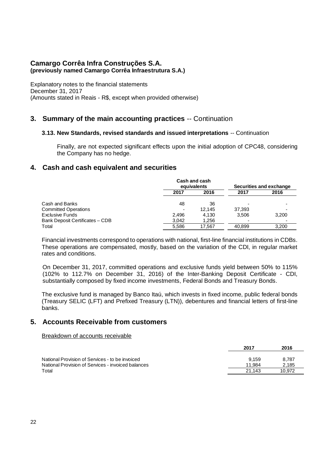Explanatory notes to the financial statements December 31, 2017 (Amounts stated in Reais - R\$, except when provided otherwise)

# **3. Summary of the main accounting practices** -- Continuation

#### **3.13. New Standards, revised standards and issued interpretations** -- Continuation

Finally, are not expected significant effects upon the initial adoption of CPC48, considering the Company has no hedge.

### **4. Cash and cash equivalent and securities**

|                                 |       | Cash and cash<br>equivalents |        | Securities and exchange |
|---------------------------------|-------|------------------------------|--------|-------------------------|
|                                 | 2017  | 2016                         |        | 2016                    |
| Cash and Banks                  | 48    | 36                           |        |                         |
| <b>Committed Operations</b>     |       | 12.145                       | 37,393 |                         |
| <b>Exclusive Funds</b>          | 2.496 | 4.130                        | 3.506  | 3.200                   |
| Bank Deposit Certificates - CDB | 3.042 | 1,256                        |        |                         |
| Total                           | 5.586 | 17.567                       | 40.899 | 3.200                   |

Financial investments correspond to operations with national, first-line financial institutions in CDBs. These operations are compensated, mostly, based on the variation of the CDI, in regular market rates and conditions.

On December 31, 2017, committed operations and exclusive funds yield between 50% to 115% (102% to 112.7% on December 31, 2016) of the Inter-Banking Deposit Certificate - CDI, substantially composed by fixed income investments, Federal Bonds and Treasury Bonds.

The exclusive fund is managed by Banco Itaú, which invests in fixed income, public federal bonds (Treasury SELIC (LFT) and Prefixed Treasury (LTN)), debentures and financial letters of first-line banks.

### **5. Accounts Receivable from customers**

Breakdown of accounts receivable

|                                                                                                       | 2017            | 2016           |
|-------------------------------------------------------------------------------------------------------|-----------------|----------------|
| National Provision of Services - to be invoiced<br>National Provision of Services - invoiced balances | 9.159<br>11.984 | 8.787<br>2,185 |
| Total                                                                                                 | 21.143          | 10.972         |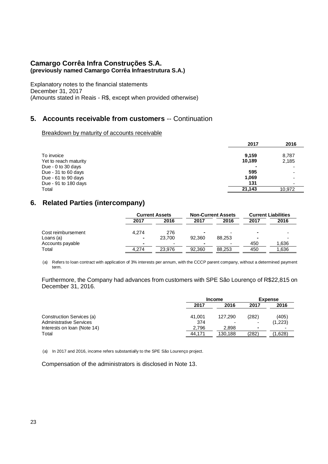Explanatory notes to the financial statements December 31, 2017 (Amounts stated in Reais - R\$, except when provided otherwise)

# **5. Accounts receivable from customers** -- Continuation

#### Breakdown by maturity of accounts receivable

|                                             | 2017            | 2016                     |
|---------------------------------------------|-----------------|--------------------------|
| To invoice<br>Yet to reach maturity         | 9,159<br>10,189 | 8.787<br>2,185           |
| Due - 0 to 30 days<br>Due - 31 to 60 days   | 595             | -                        |
| Due - 61 to 90 days<br>Due - 91 to 180 days | 1,069<br>131    | $\overline{\phantom{0}}$ |
| Total                                       | 21,143          | 10,972                   |

# **6. Related Parties (intercompany)**

|                    |       | <b>Current Assets</b> |        | <b>Non-Current Assets</b> |        | <b>Current Liabilities</b> |
|--------------------|-------|-----------------------|--------|---------------------------|--------|----------------------------|
|                    | 2017  | 2016                  | 2017   | 2016                      | 2017   | 2016                       |
| Cost reimbursement | 4.274 | 276                   |        | $\overline{\phantom{0}}$  | $\sim$ |                            |
| Loans (a)          |       | 23,700                | 92.360 | 88.253                    | ۰      |                            |
| Accounts payable   |       |                       | $\sim$ | $\overline{\phantom{a}}$  | 450    | 1,636                      |
| Total              | 4.274 | 23.976                | 92.360 | 88.253                    | 450    | 1.636                      |

(a) Refers to loan contract with application of 3% interests per annum, with the CCCP parent company, without a determined payment term.

Furthermore, the Company had advances from customers with SPE São Lourenço of R\$22,815 on December 31, 2016.

|                                |        | <b>Income</b> |       | <b>Expense</b> |
|--------------------------------|--------|---------------|-------|----------------|
|                                | 2017   | 2016          | 2017  | 2016           |
| Construction Services (a)      | 41.001 | 127.290       | (282) | (405)          |
| <b>Administrative Services</b> | 374    |               |       | (1,223)        |
| Interests on loan (Note 14)    | 2.796  | 2.898         |       |                |
| Total                          | 44.171 | 130.188       | (282) | (1,628)        |

(a) In 2017 and 2016, income refers substantially to the SPE São Lourenço project.

Compensation of the administrators is disclosed in Note 13.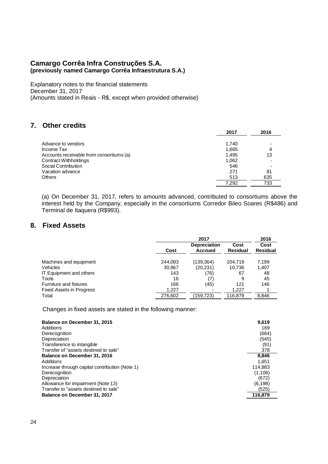Explanatory notes to the financial statements December 31, 2017 (Amounts stated in Reais - R\$, except when provided otherwise)

# **7. Other credits**

| <u>ouve oroano</u>                       |       |      |
|------------------------------------------|-------|------|
|                                          | 2017  | 2016 |
| Advance to vendors                       | 1.740 |      |
| Income Tax                               | 1,665 |      |
| Accounts receivable from consortiums (a) | 1.495 | 13   |
| Contract Withholdings                    | 1,062 |      |
| Social Contribution                      | 546   |      |
| Vacation advance                         | 271   | 81   |
| Others                                   | 513   | 635  |
|                                          | 7.292 | 733  |

(a) On December 31, 2017, refers to amounts advanced, contributed to consortiums above the interest held by the Company, especially in the consortiums Corredor Bileo Soares (R\$486) and Terminal de Itaquera (R\$993).

# **8. Fixed Assets**

|                                 |         | 2017                                  |                         | 2016                    |
|---------------------------------|---------|---------------------------------------|-------------------------|-------------------------|
|                                 | Cost    | <b>Depreciation</b><br><b>Accrued</b> | Cost<br><b>Residual</b> | Cost<br><b>Residual</b> |
| Machines and equipment          | 244,083 | (139,364)                             | 104.719                 | 7,199                   |
| Vehicles                        | 30,967  | (20, 231)                             | 10.736                  | 1.407                   |
| IT Equipment and others         | 143     | (76)                                  | 67                      | 48                      |
| Tools                           | 16      | (7)                                   | 9                       | 45                      |
| Furniture and fixtures          | 166     | (45)                                  | 121                     | 146                     |
| <b>Fixed Assets in Progress</b> | 1.227   |                                       | 1.227                   |                         |
| Total                           | 276,602 | 159,723                               | 116,879                 | 8,846                   |

Changes in fixed assets are stated in the following manner:

| Balance on December 31, 2015                   | 9,619    |
|------------------------------------------------|----------|
| Additions                                      | 169      |
| Derecognition                                  | (684)    |
| Depreciation                                   | (545)    |
| Transference to intangible                     | (91)     |
| Transfer of "assets destined to sale"          | 378      |
| Balance on December 31, 2016                   | 8,846    |
| Additions                                      | 1.651    |
| Increase through capital contribution (Note 1) | 114.883  |
| Derecognition                                  | (1.106)  |
| Depreciation                                   | (672)    |
| Allowance for impairment (Note 13)             | (6, 198) |
| Transfer to "assets destined to sale"          | (525)    |
| Balance on December 31, 2017                   | 116,879  |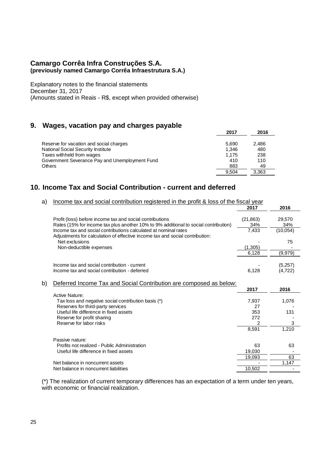Explanatory notes to the financial statements December 31, 2017 (Amounts stated in Reais - R\$, except when provided otherwise)

# **9. Wages, vacation pay and charges payable**

|                                                | 2017  | 2016  |
|------------------------------------------------|-------|-------|
| Reserve for vacation and social charges        | 5.690 | 2.486 |
| National Social Security Institute             | 1.346 | 480   |
| Taxes withheld from wages                      | 1.175 | 238   |
| Government Severance Pay and Unemployment Fund | 410   | 110   |
| Others                                         | 883   | 49    |
|                                                | 9.504 | 3.363 |

# **10. Income Tax and Social Contribution - current and deferred**

| a) | Income tax and social contribution registered in the profit & loss of the fiscal year                                                           |                  |           |
|----|-------------------------------------------------------------------------------------------------------------------------------------------------|------------------|-----------|
|    |                                                                                                                                                 | 2017             | 2016      |
|    |                                                                                                                                                 |                  | 29,570    |
|    | Profit (loss) before income tax and social contributions<br>Rates (15% for income tax plus another 10% to 9% additional to social contribution) | (21, 863)<br>34% | 34%       |
|    | Income tax and social contributions calculated at nominal rates                                                                                 | 7,433            | (10, 054) |
|    | Adjustments for calculation of effective income tax and social contribution:                                                                    |                  |           |
|    | Net exclusions                                                                                                                                  |                  | 75        |
|    | Non-deductible expenses                                                                                                                         | (1,305)          |           |
|    |                                                                                                                                                 | 6,128            | (9,979)   |
|    |                                                                                                                                                 |                  |           |
|    | Income tax and social contribution - current<br>Income tax and social contribution - deferred                                                   |                  | (5,257)   |
|    |                                                                                                                                                 | 6.128            | (4, 722)  |
| b) | Deferred Income Tax and Social Contribution are composed as below:                                                                              |                  |           |
|    |                                                                                                                                                 | 2017             | 2016      |
|    | <b>Active Nature:</b>                                                                                                                           |                  |           |
|    | Tax loss and negative social contribution basis (*)                                                                                             | 7,937            | 1,076     |
|    | Reserves for third-party services                                                                                                               | 27               |           |
|    | Useful life difference in fixed assets                                                                                                          | 353              | 131       |
|    | Reserve for profit sharing                                                                                                                      | 272              |           |
|    | Reserve for labor risks                                                                                                                         | 2                | 3         |
|    |                                                                                                                                                 | 8,591            | 1,210     |
|    | Passive nature:                                                                                                                                 |                  |           |
|    | Profits not realized - Public Administration                                                                                                    | 63               | 63        |
|    | Useful life difference in fixed assets                                                                                                          | 19,030           |           |
|    |                                                                                                                                                 | 19,093           | 63        |
|    | Net balance in noncurrent assets                                                                                                                |                  | 1,147     |
|    | Net balance in noncurrent liabilities                                                                                                           | 10,502           |           |

(\*) The realization of current temporary differences has an expectation of a term under ten years, with economic or financial realization.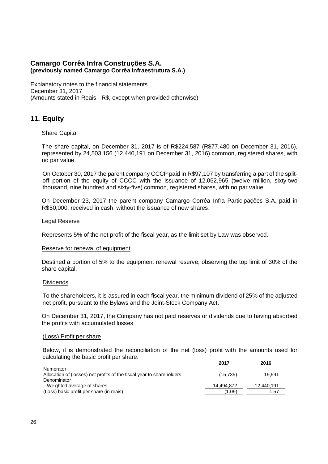Explanatory notes to the financial statements December 31, 2017 (Amounts stated in Reais - R\$, except when provided otherwise)

# **11. Equity**

#### Share Capital

The share capital, on December 31, 2017 is of R\$224,587 (R\$77,480 on December 31, 2016), represented by 24,503,156 (12,440,191 on December 31, 2016) common, registered shares, with no par value.

On October 30, 2017 the parent company CCCP paid in R\$97,107 by transferring a part of the splitoff portion of the equity of CCCC with the issuance of 12,062,965 (twelve million, sixty-two thousand, nine hundred and sixty-five) common, registered shares, with no par value.

On December 23, 2017 the parent company Camargo Corrêa Infra Participações S.A. paid in R\$50,000, received in cash, without the issuance of new shares.

#### Legal Reserve

Represents 5% of the net profit of the fiscal year, as the limit set by Law was observed.

#### Reserve for renewal of equipment

Destined a portion of 5% to the equipment renewal reserve, observing the top limit of 30% of the share capital.

#### Dividends

To the shareholders, it is assured in each fiscal year, the minimum dividend of 25% of the adjusted net profit, pursuant to the Bylaws and the Joint-Stock Company Act.

On December 31, 2017, the Company has not paid reserves or dividends due to having absorbed the profits with accumulated losses.

#### (Loss) Profit per share

Below, it is demonstrated the reconciliation of the net (loss) profit with the amounts used for calculating the basic profit per share:

|                                                                       | 2017       | 2016       |
|-----------------------------------------------------------------------|------------|------------|
| Numerator                                                             |            |            |
| Allocation of (losses) net profits of the fiscal year to shareholders | (15, 735)  | 19.591     |
| Denominator                                                           |            |            |
| Weighted average of shares                                            | 14.494.872 | 12.440.191 |
| (Loss) basic profit per share (in reais)                              | (1.09)     | 1.57       |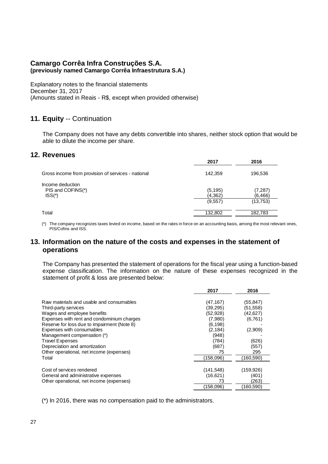Explanatory notes to the financial statements December 31, 2017 (Amounts stated in Reais - R\$, except when provided otherwise)

# **11. Equity** -- Continuation

The Company does not have any debts convertible into shares, neither stock option that would be able to dilute the income per share.

# **12. Revenues**

|                                                    | 2017                             | 2016                              |
|----------------------------------------------------|----------------------------------|-----------------------------------|
| Gross income from provision of services - national | 142,359                          | 196,536                           |
| Income deduction<br>PIS and COFINS(*)<br>$ISS*$    | (5, 195)<br>(4, 362)<br>(9, 557) | (7, 287)<br>(6, 466)<br>(13, 753) |
| Total                                              | 132,802                          | 182,783                           |

(\*) The company recognizes taxes levied on income, based on the rates in force on an accounting basis, among the most relevant ones, PIS/Cofins and ISS.

### **13. Information on the nature of the costs and expenses in the statement of operations**

The Company has presented the statement of operations for the fiscal year using a function-based expense classification. The information on the nature of these expenses recognized in the statement of profit & loss are presented below:

|                                             | 2017       | 2016       |
|---------------------------------------------|------------|------------|
| Raw materials and usable and consumables    | (47,167)   | (55, 847)  |
| Third-party services                        | (39,295)   | (51, 558)  |
| Wages and employee benefits                 | (52, 928)  | (42,627)   |
| Expenses with rent and condominium charges  | (7,980)    | (6,761)    |
| Reserve for loss due to impairment (Note 8) | (6, 198)   |            |
| Expenses with consumables                   | (2, 184)   | (2,909)    |
| Management compensation (*)                 | (948)      |            |
| <b>Travel Expenses</b>                      | (784)      | (626)      |
| Depreciation and amortization               | (687)      | (557)      |
| Other operational, net income (expenses)    | 75         | 295        |
| Total                                       | (158,096)  | (160,590)  |
| Cost of services rendered                   | (141, 548) | (159, 926) |
| General and administrative expenses         | (16, 621)  | (401)      |
| Other operational, net income (expenses)    | 73         | (263)      |
|                                             | (158,096)  | (160,590)  |

(\*) In 2016, there was no compensation paid to the administrators.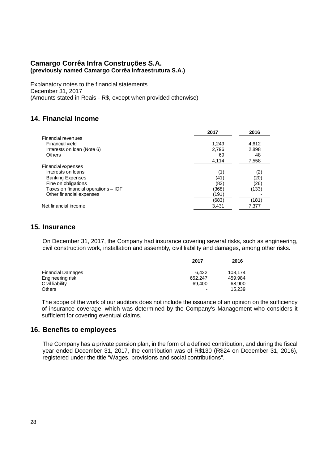Explanatory notes to the financial statements December 31, 2017 (Amounts stated in Reais - R\$, except when provided otherwise)

# **14. Financial Income**

|                                     | 2017  | 2016  |
|-------------------------------------|-------|-------|
| Financial revenues                  |       |       |
| <b>Financial vield</b>              | 1,249 | 4,612 |
| Interests on loan (Note 6)          | 2,796 | 2,898 |
| Others                              | 69    | 48    |
|                                     | 4,114 | 7,558 |
| Financial expenses                  |       |       |
| Interests on loans                  | (1)   | (2)   |
| <b>Banking Expenses</b>             | (41)  | (20)  |
| Fine on obligations                 | (82)  | (26)  |
| Taxes on financial operations - IOF | (368) | (133) |
| Other financial expenses            | (191  |       |
|                                     | (683) | 181   |
| Net financial income                | 3.431 | 7.377 |

### **15. Insurance**

On December 31, 2017, the Company had insurance covering several risks, such as engineering, civil construction work, installation and assembly, civil liability and damages, among other risks.

|                          | 2017    | 2016    |
|--------------------------|---------|---------|
| <b>Financial Damages</b> | 6.422   | 108.174 |
| Engineering risk         | 652.247 | 459.984 |
| Civil liability          | 69.400  | 68,900  |
| Others                   | -       | 15.239  |

The scope of the work of our auditors does not include the issuance of an opinion on the sufficiency of insurance coverage, which was determined by the Company's Management who considers it sufficient for covering eventual claims.

### **16. Benefits to employees**

The Company has a private pension plan, in the form of a defined contribution, and during the fiscal year ended December 31, 2017, the contribution was of R\$130 (R\$24 on December 31, 2016), registered under the title "Wages, provisions and social contributions".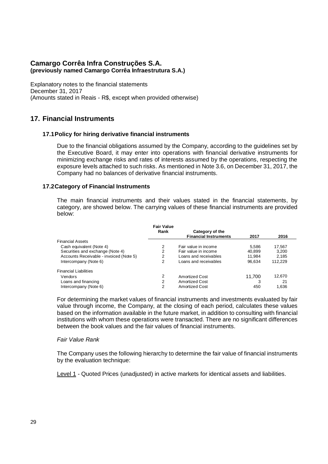Explanatory notes to the financial statements December 31, 2017 (Amounts stated in Reais - R\$, except when provided otherwise)

# **17. Financial Instruments**

#### **17.1 Policy for hiring derivative financial instruments**

Due to the financial obligations assumed by the Company, according to the guidelines set by the Executive Board, it may enter into operations with financial derivative instruments for minimizing exchange risks and rates of interests assumed by the operations, respecting the exposure levels attached to such risks. As mentioned in Note 3.6, on December 31, 2017, the Company had no balances of derivative financial instruments.

#### **17.2 Category of Financial Instruments**

The main financial instruments and their values stated in the financial statements, by category, are showed below. The carrying values of these financial instruments are provided below:

|                                         | <b>Fair Value</b><br>Rank | Category of the<br><b>Financial Instruments</b> | 2017   | 2016    |
|-----------------------------------------|---------------------------|-------------------------------------------------|--------|---------|
| <b>Financial Assets</b>                 |                           |                                                 |        |         |
| Cash equivalent (Note 4)                | 2                         | Fair value in income                            | 5.586  | 17.567  |
| Securities and exchange (Note 4)        | 2                         | Fair value in income                            | 40.899 | 3.200   |
| Accounts Receivable - invoiced (Note 5) | 2                         | Loans and receivables                           | 11.984 | 2.185   |
| Intercompany (Note 6)                   | 2                         | Loans and receivables                           | 96.634 | 112.229 |
| <b>Financial Liabilities</b>            |                           |                                                 |        |         |
| Vendors                                 | 2                         | <b>Amortized Cost</b>                           | 11.700 | 12,670  |
| Loans and financing                     | 2                         | Amortized Cost                                  | 3      | 21      |
| Intercompany (Note 6)                   | 2                         | <b>Amortized Cost</b>                           | 450    | 1,636   |

For determining the market values of financial instruments and investments evaluated by fair value through income, the Company, at the closing of each period, calculates these values based on the information available in the future market, in addition to consulting with financial institutions with whom these operations were transacted. There are no significant differences between the book values and the fair values of financial instruments.

#### *Fair Value Rank*

The Company uses the following hierarchy to determine the fair value of financial instruments by the evaluation technique:

Level 1 - Quoted Prices (unadjusted) in active markets for identical assets and liabilities.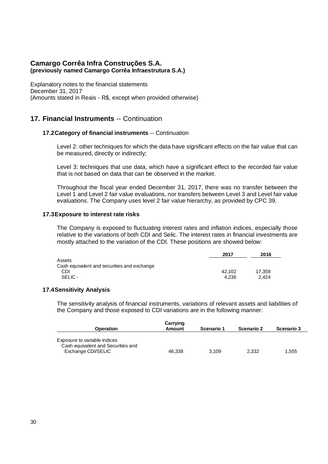Explanatory notes to the financial statements December 31, 2017 (Amounts stated in Reais - R\$, except when provided otherwise)

# **17. Financial Instruments** -- Continuation

#### **17.2 Category of financial instruments** -- Continuation

Level 2: other techniques for which the data have significant effects on the fair value that can be measured, directly or indirectly;

Level 3: techniques that use data, which have a significant effect to the recorded fair value that is not based on data that can be observed in the market.

Throughout the fiscal year ended December 31, 2017, there was no transfer between the Level 1 and Level 2 fair value evaluations, nor transfers between Level 3 and Level fair value evaluations. The Company uses level 2 fair value hierarchy, as provided by CPC 39.

#### **17.3 Exposure to interest rate risks**

The Company is exposed to fluctuating interest rates and inflation indices, especially those relative to the variations of both CDI and Selic. The interest rates in financial investments are mostly attached to the variation of the CDI. These positions are showed below:

|                                             | 2017   | 2016   |
|---------------------------------------------|--------|--------|
| Assets                                      |        |        |
| Cash equivalent and securities and exchange |        |        |
| CDI                                         | 42.102 | 17.358 |
| SELIC-                                      | 4.236  | 2.424  |

#### **17.4 Sensitivity Analysis**

The sensitivity analysis of financial instruments, variations of relevant assets and liabilities of the Company and those exposed to CDI variations are in the following manner:

| <b>Operation</b>                                                                         | Carrying<br>Amount | Scenario 1 | Scenario 2 | Scenario 3 |
|------------------------------------------------------------------------------------------|--------------------|------------|------------|------------|
| Exposure to variable indices<br>Cash equivalent and Securities and<br>Exchange CDI/SELIC | 46.338             | 3.109      | 2.332      | 1.555      |